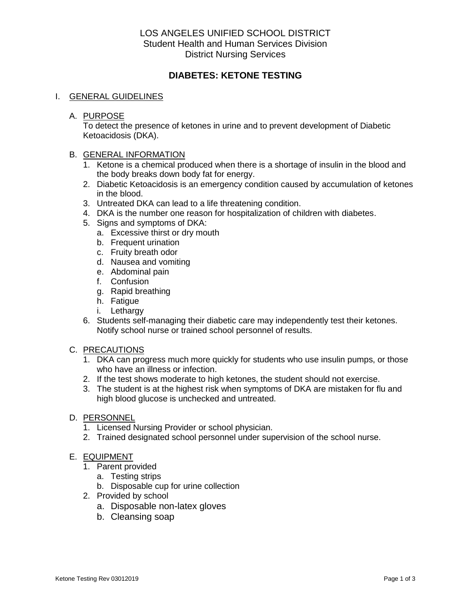# LOS ANGELES UNIFIED SCHOOL DISTRICT Student Health and Human Services Division District Nursing Services

# **DIABETES: KETONE TESTING**

## I. GENERAL GUIDELINES

## A. PURPOSE

To detect the presence of ketones in urine and to prevent development of Diabetic Ketoacidosis (DKA).

## B. GENERAL INFORMATION

- 1. Ketone is a chemical produced when there is a shortage of insulin in the blood and the body breaks down body fat for energy.
- 2. Diabetic Ketoacidosis is an emergency condition caused by accumulation of ketones in the blood.
- 3. Untreated DKA can lead to a life threatening condition.
- 4. DKA is the number one reason for hospitalization of children with diabetes.
- 5. Signs and symptoms of DKA:
	- a. Excessive thirst or dry mouth
	- b. Frequent urination
	- c. Fruity breath odor
	- d. Nausea and vomiting
	- e. Abdominal pain
	- f. Confusion
	- g. Rapid breathing
	- h. Fatigue
	- i. Lethargy
- 6. Students self-managing their diabetic care may independently test their ketones. Notify school nurse or trained school personnel of results.

## C. PRECAUTIONS

- 1. DKA can progress much more quickly for students who use insulin pumps, or those who have an illness or infection.
- 2. If the test shows moderate to high ketones, the student should not exercise.
- 3. The student is at the highest risk when symptoms of DKA are mistaken for flu and high blood glucose is unchecked and untreated.

#### D. PERSONNEL

- 1. Licensed Nursing Provider or school physician.
- 2. Trained designated school personnel under supervision of the school nurse.

## E. EQUIPMENT

- 1. Parent provided
	- a. Testing strips
	- b. Disposable cup for urine collection
- 2. Provided by school
	- a. Disposable non-latex gloves
	- b. Cleansing soap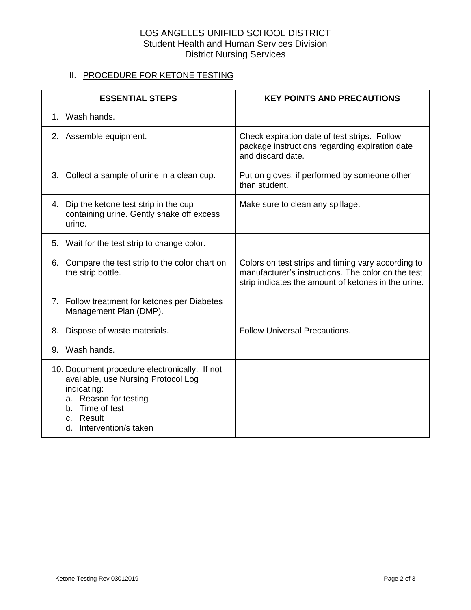# LOS ANGELES UNIFIED SCHOOL DISTRICT Student Health and Human Services Division District Nursing Services

# II. PROCEDURE FOR KETONE TESTING

| <b>ESSENTIAL STEPS</b> |                                                                                                                                                                                         | <b>KEY POINTS AND PRECAUTIONS</b>                                                                                                                               |
|------------------------|-----------------------------------------------------------------------------------------------------------------------------------------------------------------------------------------|-----------------------------------------------------------------------------------------------------------------------------------------------------------------|
|                        | 1. Wash hands.                                                                                                                                                                          |                                                                                                                                                                 |
|                        | 2. Assemble equipment.                                                                                                                                                                  | Check expiration date of test strips. Follow<br>package instructions regarding expiration date<br>and discard date.                                             |
|                        | 3. Collect a sample of urine in a clean cup.                                                                                                                                            | Put on gloves, if performed by someone other<br>than student.                                                                                                   |
|                        | 4. Dip the ketone test strip in the cup<br>containing urine. Gently shake off excess<br>urine.                                                                                          | Make sure to clean any spillage.                                                                                                                                |
|                        | 5. Wait for the test strip to change color.                                                                                                                                             |                                                                                                                                                                 |
|                        | 6. Compare the test strip to the color chart on<br>the strip bottle.                                                                                                                    | Colors on test strips and timing vary according to<br>manufacturer's instructions. The color on the test<br>strip indicates the amount of ketones in the urine. |
|                        | 7. Follow treatment for ketones per Diabetes<br>Management Plan (DMP).                                                                                                                  |                                                                                                                                                                 |
| 8.                     | Dispose of waste materials.                                                                                                                                                             | <b>Follow Universal Precautions.</b>                                                                                                                            |
|                        | 9. Wash hands.                                                                                                                                                                          |                                                                                                                                                                 |
|                        | 10. Document procedure electronically. If not<br>available, use Nursing Protocol Log<br>indicating:<br>a. Reason for testing<br>b. Time of test<br>c. Result<br>d. Intervention/s taken |                                                                                                                                                                 |